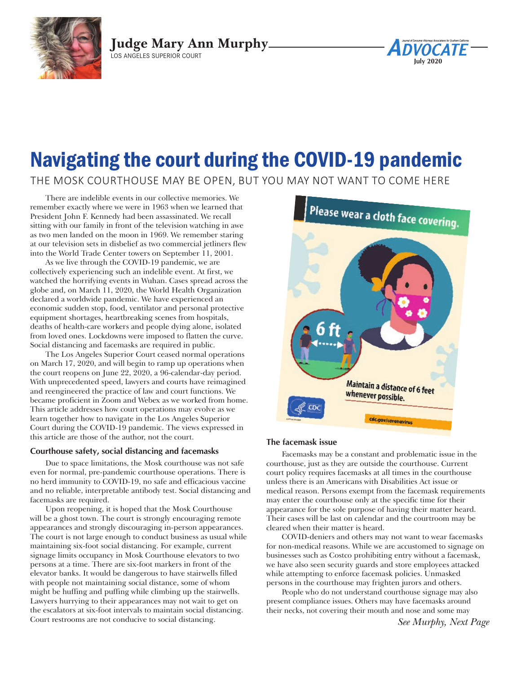

**Judge Mary Ann Murphy** LOS ANGELES SUPERIOR COURT

# Navigating the court during the COVID-19 pandemic

THE MOSK COURTHOUSE MAY BE OPEN, BUT YOU MAY NOT WANT TO COME HERE

There are indelible events in our collective memories. We remember exactly where we were in 1963 when we learned that President John F. Kennedy had been assassinated. We recall sitting with our family in front of the television watching in awe as two men landed on the moon in 1969. We remember staring at our television sets in disbelief as two commercial jetliners flew into the World Trade Center towers on September 11, 2001.

As we live through the COVID-19 pandemic, we are collectively experiencing such an indelible event. At first, we watched the horrifying events in Wuhan. Cases spread across the globe and, on March 11, 2020, the World Health Organization declared a worldwide pandemic. We have experienced an economic sudden stop, food, ventilator and personal protective equipment shortages, heartbreaking scenes from hospitals, deaths of health-care workers and people dying alone, isolated from loved ones. Lockdowns were imposed to flatten the curve. Social distancing and facemasks are required in public.

The Los Angeles Superior Court ceased normal operations on March 17, 2020, and will begin to ramp up operations when the court reopens on June 22, 2020, a 96-calendar-day period. With unprecedented speed, lawyers and courts have reimagined and reengineered the practice of law and court functions. We became proficient in Zoom and Webex as we worked from home. This article addresses how court operations may evolve as we learn together how to navigate in the Los Angeles Superior Court during the COVID-19 pandemic. The views expressed in this article are those of the author, not the court.

# **Courthouse safety, social distancing and facemasks**

Due to space limitations, the Mosk courthouse was not safe even for normal, pre-pandemic courthouse operations. There is no herd immunity to COVID-19, no safe and efficacious vaccine and no reliable, interpretable antibody test. Social distancing and facemasks are required.

Upon reopening, it is hoped that the Mosk Courthouse will be a ghost town. The court is strongly encouraging remote appearances and strongly discouraging in-person appearances. The court is not large enough to conduct business as usual while maintaining six-foot social distancing. For example, current signage limits occupancy in Mosk Courthouse elevators to two persons at a time. There are six-foot markers in front of the elevator banks. It would be dangerous to have stairwells filled with people not maintaining social distance, some of whom might be huffing and puffing while climbing up the stairwells. Lawyers hurrying to their appearances may not wait to get on the escalators at six-foot intervals to maintain social distancing. Court restrooms are not conducive to social distancing.



**July 2020**

*DVOCATE* 

# **The facemask issue**

Facemasks may be a constant and problematic issue in the courthouse, just as they are outside the courthouse. Current court policy requires facemasks at all times in the courthouse unless there is an Americans with Disabilities Act issue or medical reason. Persons exempt from the facemask requirements may enter the courthouse only at the specific time for their appearance for the sole purpose of having their matter heard. Their cases will be last on calendar and the courtroom may be cleared when their matter is heard.

COVID-deniers and others may not want to wear facemasks for non-medical reasons. While we are accustomed to signage on businesses such as Costco prohibiting entry without a facemask, we have also seen security guards and store employees attacked while attempting to enforce facemask policies. Unmasked persons in the courthouse may frighten jurors and others.

People who do not understand courthouse signage may also present compliance issues. Others may have facemasks around their necks, not covering their mouth and nose and some may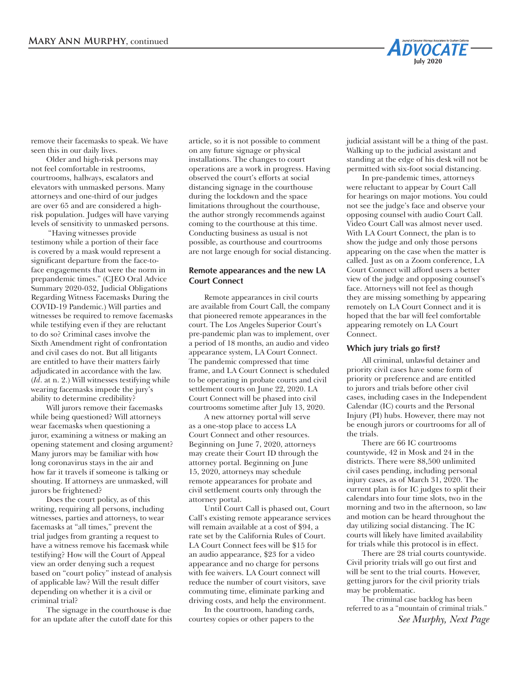remove their facemasks to speak. We have seen this in our daily lives.

Older and high-risk persons may not feel comfortable in restrooms, courtrooms, hallways, escalators and elevators with unmasked persons. Many attorneys and one-third of our judges are over 65 and are considered a highrisk population. Judges will have varying levels of sensitivity to unmasked persons.

 "Having witnesses provide testimony while a portion of their face is covered by a mask would represent a significant departure from the face-toface engagements that were the norm in prepandemic times." (CJEO Oral Advice Summary 2020-032, Judicial Obligations Regarding Witness Facemasks During the COVID-19 Pandemic.) Will parties and witnesses be required to remove facemasks while testifying even if they are reluctant to do so? Criminal cases involve the Sixth Amendment right of confrontation and civil cases do not. But all litigants are entitled to have their matters fairly adjudicated in accordance with the law. (*Id*. at n. 2.) Will witnesses testifying while wearing facemasks impede the jury's ability to determine credibility?

Will jurors remove their facemasks while being questioned? Will attorneys wear facemasks when questioning a juror, examining a witness or making an opening statement and closing argument? Many jurors may be familiar with how long coronavirus stays in the air and how far it travels if someone is talking or shouting. If attorneys are unmasked, will jurors be frightened?

Does the court policy, as of this writing, requiring all persons, including witnesses, parties and attorneys, to wear facemasks at "all times," prevent the trial judges from granting a request to have a witness remove his facemask while testifying? How will the Court of Appeal view an order denying such a request based on "court policy" instead of analysis of applicable law? Will the result differ depending on whether it is a civil or criminal trial?

The signage in the courthouse is due for an update after the cutoff date for this article, so it is not possible to comment on any future signage or physical installations. The changes to court operations are a work in progress. Having observed the court's efforts at social distancing signage in the courthouse during the lockdown and the space limitations throughout the courthouse, the author strongly recommends against coming to the courthouse at this time. Conducting business as usual is not possible, as courthouse and courtrooms are not large enough for social distancing.

# **Remote appearances and the new LA Court Connect**

Remote appearances in civil courts are available from Court Call, the company that pioneered remote appearances in the court. The Los Angeles Superior Court's pre-pandemic plan was to implement, over a period of 18 months, an audio and video appearance system, LA Court Connect. The pandemic compressed that time frame, and LA Court Connect is scheduled to be operating in probate courts and civil settlement courts on June 22, 2020. LA Court Connect will be phased into civil courtrooms sometime after July 13, 2020.

A new attorney portal will serve as a one-stop place to access LA Court Connect and other resources. Beginning on June 7, 2020, attorneys may create their Court ID through the attorney portal. Beginning on June 15, 2020, attorneys may schedule remote appearances for probate and civil settlement courts only through the attorney portal.

Until Court Call is phased out, Court Call's existing remote appearance services will remain available at a cost of \$94, a rate set by the California Rules of Court. LA Court Connect fees will be \$15 for an audio appearance, \$23 for a video appearance and no charge for persons with fee waivers. LA Court connect will reduce the number of court visitors, save commuting time, eliminate parking and driving costs, and help the environment.

In the courtroom, handing cards, courtesy copies or other papers to the judicial assistant will be a thing of the past. Walking up to the judicial assistant and standing at the edge of his desk will not be permitted with six-foot social distancing.

**May 2020**

**ADVOCATE** 

**July 2020**

In pre-pandemic times, attorneys were reluctant to appear by Court Call for hearings on major motions. You could not see the judge's face and observe your opposing counsel with audio Court Call. Video Court Call was almost never used. With LA Court Connect, the plan is to show the judge and only those persons appearing on the case when the matter is called. Just as on a Zoom conference, LA Court Connect will afford users a better view of the judge and opposing counsel's face. Attorneys will not feel as though they are missing something by appearing remotely on LA Court Connect and it is hoped that the bar will feel comfortable appearing remotely on LA Court Connect.

## **Which jury trials go first?**

All criminal, unlawful detainer and priority civil cases have some form of priority or preference and are entitled to jurors and trials before other civil cases, including cases in the Independent Calendar (IC) courts and the Personal Injury (PI) hubs. However, there may not be enough jurors or courtrooms for all of the trials.

There are 66 IC courtrooms countywide, 42 in Mosk and 24 in the districts. There were 88,500 unlimited civil cases pending, including personal injury cases, as of March 31, 2020. The current plan is for IC judges to split their calendars into four time slots, two in the morning and two in the afternoon, so law and motion can be heard throughout the day utilizing social distancing. The IC courts will likely have limited availability for trials while this protocol is in effect.

There are 28 trial courts countywide. Civil priority trials will go out first and will be sent to the trial courts. However, getting jurors for the civil priority trials may be problematic.

The criminal case backlog has been referred to as a "mountain of criminal trials."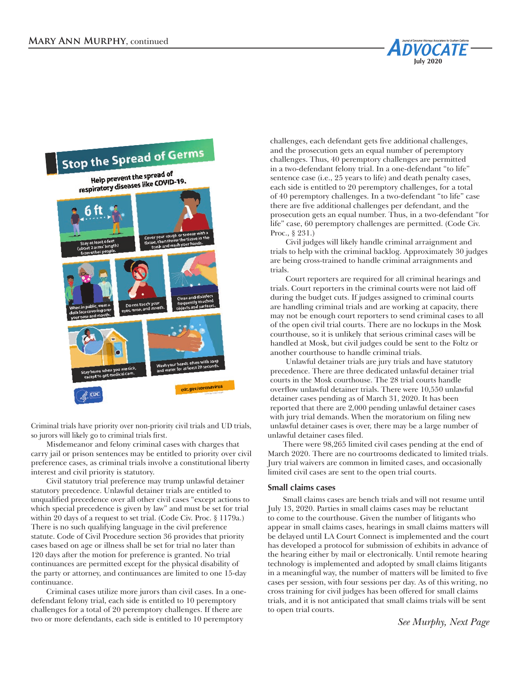

Criminal trials have priority over non-priority civil trials and UD trials, so jurors will likely go to criminal trials first.

Misdemeanor and felony criminal cases with charges that carry jail or prison sentences may be entitled to priority over civil preference cases, as criminal trials involve a constitutional liberty interest and civil priority is statutory.

Civil statutory trial preference may trump unlawful detainer statutory precedence. Unlawful detainer trials are entitled to unqualified precedence over all other civil cases "except actions to which special precedence is given by law" and must be set for trial within 20 days of a request to set trial. (Code Civ. Proc. § 1179a.) There is no such qualifying language in the civil preference statute. Code of Civil Procedure section 36 provides that priority cases based on age or illness shall be set for trial no later than 120 days after the motion for preference is granted. No trial continuances are permitted except for the physical disability of the party or attorney, and continuances are limited to one 15-day continuance.

Criminal cases utilize more jurors than civil cases. In a onedefendant felony trial, each side is entitled to 10 peremptory challenges for a total of 20 peremptory challenges. If there are two or more defendants, each side is entitled to 10 peremptory

challenges, each defendant gets five additional challenges, and the prosecution gets an equal number of peremptory challenges. Thus, 40 peremptory challenges are permitted in a two-defendant felony trial. In a one-defendant "to life" sentence case (i.e., 25 years to life) and death penalty cases, each side is entitled to 20 peremptory challenges, for a total of 40 peremptory challenges. In a two-defendant "to life" case there are five additional challenges per defendant, and the prosecution gets an equal number. Thus, in a two-defendant "for life" case, 60 peremptory challenges are permitted. (Code Civ. Proc., § 231.)

**May 2020**

**ADVOCATE** 

**July 2020**

Civil judges will likely handle criminal arraignment and trials to help with the criminal backlog. Approximately 30 judges are being cross-trained to handle criminal arraignments and trials.

Court reporters are required for all criminal hearings and trials. Court reporters in the criminal courts were not laid off during the budget cuts. If judges assigned to criminal courts are handling criminal trials and are working at capacity, there may not be enough court reporters to send criminal cases to all of the open civil trial courts. There are no lockups in the Mosk courthouse, so it is unlikely that serious criminal cases will be handled at Mosk, but civil judges could be sent to the Foltz or another courthouse to handle criminal trials.

Unlawful detainer trials are jury trials and have statutory precedence. There are three dedicated unlawful detainer trial courts in the Mosk courthouse. The 28 trial courts handle overflow unlawful detainer trials. There were 10,550 unlawful detainer cases pending as of March 31, 2020. It has been reported that there are 2,000 pending unlawful detainer cases with jury trial demands. When the moratorium on filing new unlawful detainer cases is over, there may be a large number of unlawful detainer cases filed.

There were 98,265 limited civil cases pending at the end of March 2020. There are no courtrooms dedicated to limited trials. Jury trial waivers are common in limited cases, and occasionally limited civil cases are sent to the open trial courts.

# **Small claims cases**

Small claims cases are bench trials and will not resume until July 13, 2020. Parties in small claims cases may be reluctant to come to the courthouse. Given the number of litigants who appear in small claims cases, hearings in small claims matters will be delayed until LA Court Connect is implemented and the court has developed a protocol for submission of exhibits in advance of the hearing either by mail or electronically. Until remote hearing technology is implemented and adopted by small claims litigants in a meaningful way, the number of matters will be limited to five cases per session, with four sessions per day. As of this writing, no cross training for civil judges has been offered for small claims trials, and it is not anticipated that small claims trials will be sent to open trial courts.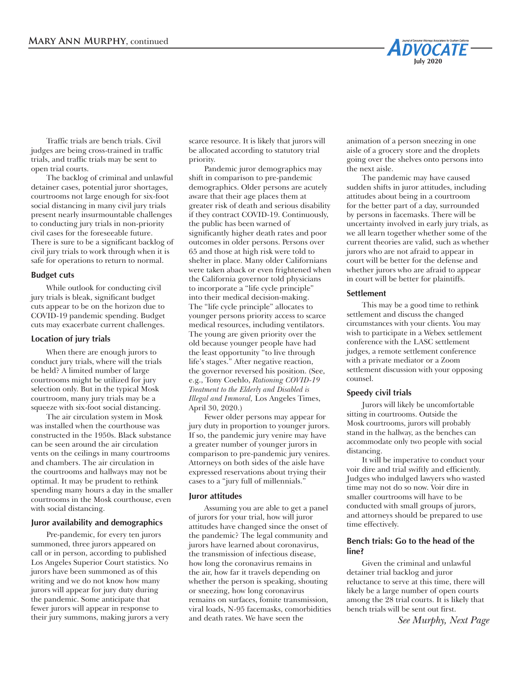Traffic trials are bench trials. Civil judges are being cross-trained in traffic trials, and traffic trials may be sent to open trial courts.

The backlog of criminal and unlawful detainer cases, potential juror shortages, courtrooms not large enough for six-foot social distancing in many civil jury trials present nearly insurmountable challenges to conducting jury trials in non-priority civil cases for the foreseeable future. There is sure to be a significant backlog of civil jury trials to work through when it is safe for operations to return to normal.

### **Budget cuts**

While outlook for conducting civil jury trials is bleak, significant budget cuts appear to be on the horizon due to COVID-19 pandemic spending. Budget cuts may exacerbate current challenges.

#### **Location of jury trials**

When there are enough jurors to conduct jury trials, where will the trials be held? A limited number of large courtrooms might be utilized for jury selection only. But in the typical Mosk courtroom, many jury trials may be a squeeze with six-foot social distancing.

The air circulation system in Mosk was installed when the courthouse was constructed in the 1950s. Black substance can be seen around the air circulation vents on the ceilings in many courtrooms and chambers. The air circulation in the courtrooms and hallways may not be optimal. It may be prudent to rethink spending many hours a day in the smaller courtrooms in the Mosk courthouse, even with social distancing.

### **Juror availability and demographics**

Pre-pandemic, for every ten jurors summoned, three jurors appeared on call or in person, according to published Los Angeles Superior Court statistics. No jurors have been summoned as of this writing and we do not know how many jurors will appear for jury duty during the pandemic. Some anticipate that fewer jurors will appear in response to their jury summons, making jurors a very

scarce resource. It is likely that jurors will be allocated according to statutory trial priority.

Pandemic juror demographics may shift in comparison to pre-pandemic demographics. Older persons are acutely aware that their age places them at greater risk of death and serious disability if they contract COVID-19. Continuously, the public has been warned of significantly higher death rates and poor outcomes in older persons. Persons over 65 and those at high risk were told to shelter in place. Many older Californians were taken aback or even frightened when the California governor told physicians to incorporate a "life cycle principle" into their medical decision-making. The "life cycle principle" allocates to younger persons priority access to scarce medical resources, including ventilators. The young are given priority over the old because younger people have had the least opportunity "to live through life's stages." After negative reaction, the governor reversed his position. (See, e.g., Tony Coehlo, *Rationing COVID-19 Treatment to the Elderly and Disabled is Illegal and Immoral,* Los Angeles Times, April 30, 2020.)

Fewer older persons may appear for jury duty in proportion to younger jurors. If so, the pandemic jury venire may have a greater number of younger jurors in comparison to pre-pandemic jury venires. Attorneys on both sides of the aisle have expressed reservations about trying their cases to a "jury full of millennials."

#### **Juror attitudes**

Assuming you are able to get a panel of jurors for your trial, how will juror attitudes have changed since the onset of the pandemic? The legal community and jurors have learned about coronavirus, the transmission of infectious disease, how long the coronavirus remains in the air, how far it travels depending on whether the person is speaking, shouting or sneezing, how long coronavirus remains on surfaces, fomite transmission, viral loads, N-95 facemasks, comorbidities and death rates. We have seen the

animation of a person sneezing in one aisle of a grocery store and the droplets going over the shelves onto persons into the next aisle.

**May 2020**

**ADVOCATE** 

**July 2020**

The pandemic may have caused sudden shifts in juror attitudes, including attitudes about being in a courtroom for the better part of a day, surrounded by persons in facemasks. There will be uncertainty involved in early jury trials, as we all learn together whether some of the current theories are valid, such as whether jurors who are not afraid to appear in court will be better for the defense and whether jurors who are afraid to appear in court will be better for plaintiffs.

### **Settlement**

This may be a good time to rethink settlement and discuss the changed circumstances with your clients. You may wish to participate in a Webex settlement conference with the LASC settlement judges, a remote settlement conference with a private mediator or a Zoom settlement discussion with your opposing counsel.

#### **Speedy civil trials**

Jurors will likely be uncomfortable sitting in courtrooms. Outside the Mosk courtrooms, jurors will probably stand in the hallway, as the benches can accommodate only two people with social distancing.

It will be imperative to conduct your voir dire and trial swiftly and efficiently. Judges who indulged lawyers who wasted time may not do so now. Voir dire in smaller courtrooms will have to be conducted with small groups of jurors, and attorneys should be prepared to use time effectively.

# **Bench trials: Go to the head of the line?**

Given the criminal and unlawful detainer trial backlog and juror reluctance to serve at this time, there will likely be a large number of open courts among the 28 trial courts. It is likely that bench trials will be sent out first.